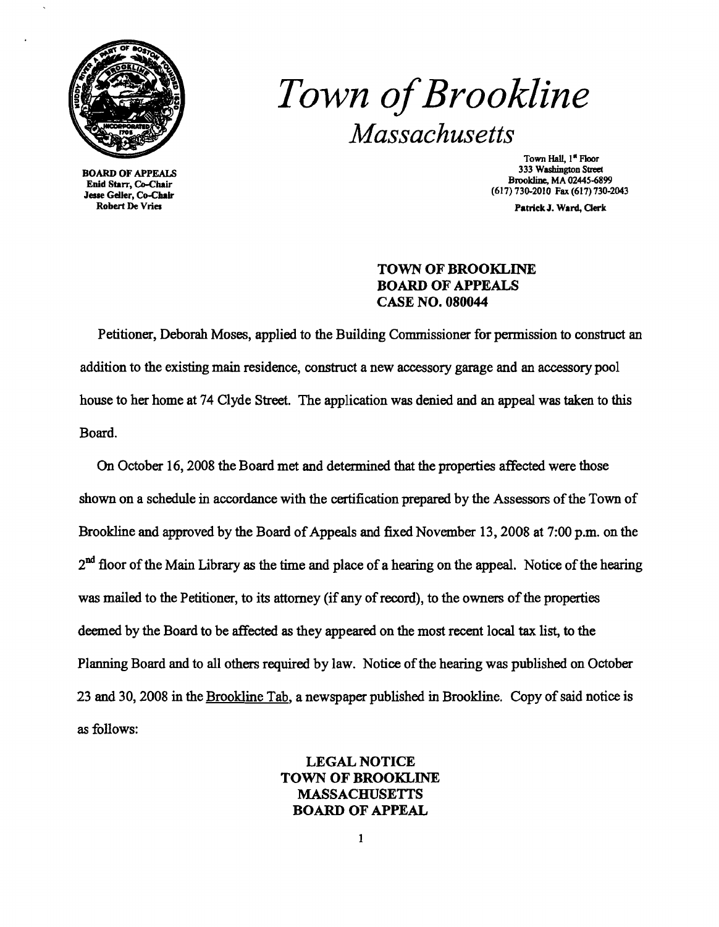

Robert De Vries Patrick J. Ward, Oerk

# *Town ofBrookline Massachusetts*

Town Hall, 1<sup>\*</sup> Floor<br>333 Washington Street 333 Washington Street BOARD OF APPEALS 333 Washington Street Brookline, MA 02445-6899<br>
Enid Starr, Co-Chair Brookline, MA 02445-6899<br>
Jesse Geller, Co-Chair (617) 730-2010 Fax (617) 730-2043

#### TOWN OF BROOKLINE BOARD OF APPEALS CASE NO. 080044

Petitioner, Deborah Moses, applied to the Building Commissioner for permission to construct an addition to the existing main residence, construct a new accessory garage and an accessory pool house to her home at 74 Clyde Street. The application was denied and an appeal was taken to this Board.

On October 16, 2008 the Board met and determined that the properties affected were those shown on a schedule in accordance with the certification prepared by the Assessors of the Town of Brookline and approved by the Board of Appeals and fixed November 13, 2008 at 7:00 p.m. on the  $2<sup>nd</sup>$  floor of the Main Library as the time and place of a hearing on the appeal. Notice of the hearing was mailed to the Petitioner, to its attorney (if any of record), to the owners of the properties deemed by the Board to be affected as they appeared on the most recent local tax list, to the Planning Board and to all others required by law. Notice of the hearing was published on October 23 and 30, 2008 in the Brookline Tab, a newspaper published in Brookline. Copy of said notice is as follows:

#### LEGAL NOTICE TOWN OF BROOKLINE MASSACHUSETTS BOARD OF APPEAL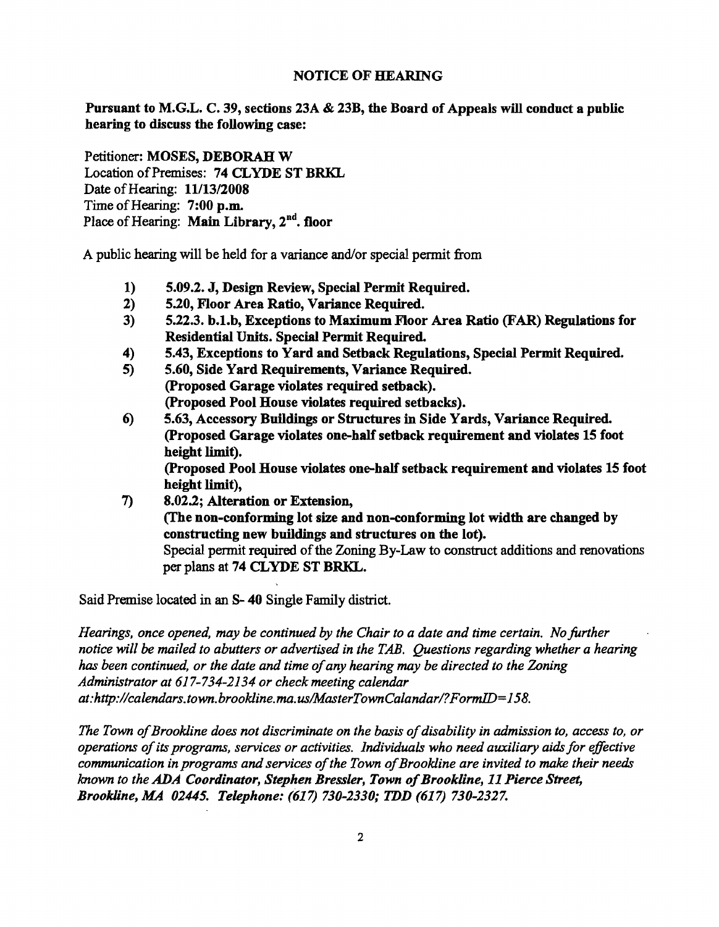#### NOTICE OF HEARING

Pursuant to M.G.L. C. 39, sections 23A & 23B, the Board of Appeals will conduct a public hearing to discuss the following case:

Petitioner: MOSES, DEBORAH W Location of Premises: 74 CLYDE ST BRKL Date ofHearing: *11/13/2008*  Time of Hearing: 7:00 p.m. Place of Hearing: Main Library, 2<sup>nd</sup>. floor

A public hearing will be held for a variance and/or special permit from

- 1) 5.09.2. J, Design Review, Special Permit Required.
- 2) 5.20, Floor Area Ratio, Variance Required.
- 3) 5.22.3. b.l.b, Exceptions to Maximum Floor Area Ratio (FAR) Regulations for Residential Units. Special Permit Required.
- 4) 5.43, Exceptions to Yard and Setback Regulations, Special Permit Required.
- 5) 5.60, Side Yard Requirements, Variance Required. (proposed Garage violates required setback). (proposed Pool House violates required setbacks).
- 6) 5.63, Accessory Buildings or Structures in Side Yards, Variance Required. (Proposed Garage violates one-half setback requirement and violates 15 foot height limit).

(Proposed Pool House violates one-half setback requirement and violates 15 foot height limit),

7) 8.02.2; Alteration or Extension, (fhe non-conforming lot size and non-conforming lot width are changed by constructing new buildings and structures on the lot). Special permit required of the Zoning By-Law to construct additions and renovations per plans at 74 CLYDE ST BRKL.

Said Premise located in an S- 40 Single Family district.

*Hearings, once opened, may be continued by the Chair to a date and time certain. No further notice will* be *mailed to abutters or advertised in the TAB. Questions regarding whether a hearing has been continued, or the date and time ofany hearing may be directed to the Zoning Administrator at* 617-734-2134 *or check meeting calendar at:http://calendars.town.brookline.ma.us/MasterTownCalandar/?FormJD=158.* 

The Town of Brookline does not discriminate on the basis of disability in admission to, access to, or *operations ofits programs, services or activities. Individuals who need auxiliary aids for effective communication in programs and services ofthe Town ofBrookline are invited to make their needs known to the ADA Coordinator, Stephen Bressler, Town of Brookline, 11 Pierce Street, Brookline, MA 02445. Telephone:* (617) *730-2330; TDD* (617) *730-2327.*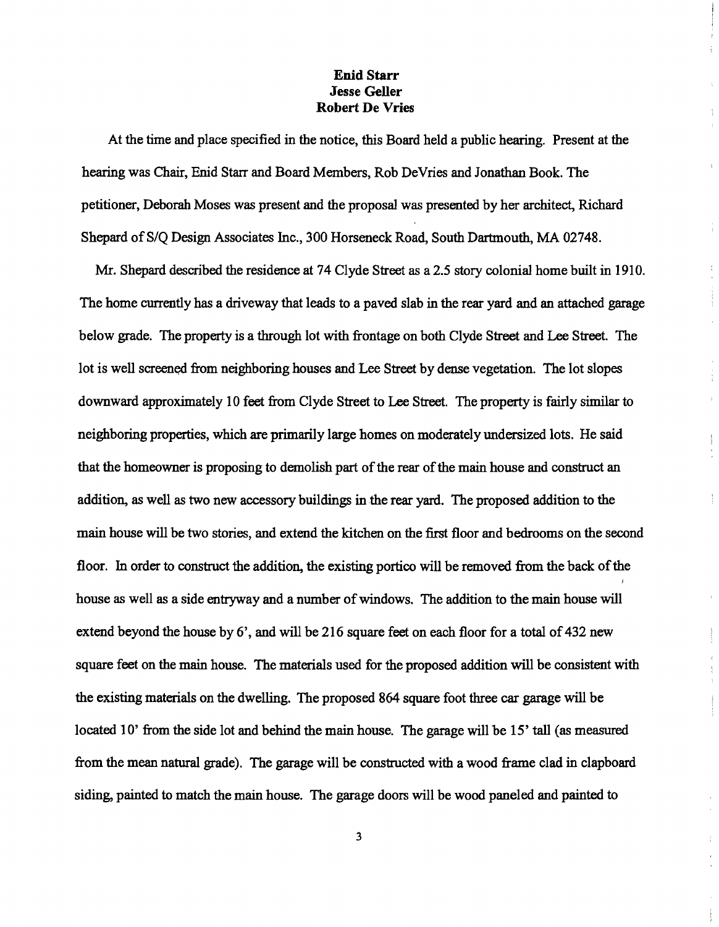#### Enid Starr Jesse Geller Robert De Vries

At the time and place specified in the notice, this Board held a public hearing. Present at the hearing was Chair, Enid Starr and Board Members, Rob DeVries and Jonathan Book. The petitioner, Deborah Moses was present and the proposal was presented by her architect, Richard Shepard of S/Q Design Associates Inc., 300 Horseneck Road, South Dartmouth, MA 02748.

 $\frac{t}{\delta}$ 

÷

 $\frac{5}{3}$ 

Mr. Shepard described the residence at 74 Clyde Street as a 2.5 story colonial home built in 1910. The home currently has a driveway that leads to a paved slab in the rear yard and an attached garage below grade. The property is a through lot with frontage on both Clyde Street and Lee Street. The lot is well screened from neighboring houses and Lee Street by dense vegetation. The lot slopes downward approximately 10 feet from Clyde Street to Lee Street. The property is fairly similar to neighboring properties, which are primarily large homes on moderately undersized lots. He said that the homeowner is proposing to demolish part of the rear of the main house and construct an addition, as well as two new accessory buildings in the rear yard. The proposed addition to the main house will be two stories, and extend the kitchen on the first floor and bedrooms on the second floor. In order to construct the addition, the existing portico will be removed from the back of the house as well as a side entryway and a number of windows. The addition to the main house will extend beyond the house by  $6'$ , and will be 216 square feet on each floor for a total of 432 new square feet on the main house. The materials used for the proposed addition will be consistent with the existing materials on the dwelling. The proposed 864 square foot three car garage will be located 10' from the side lot and behind the main house. The garage will be 15' tall (as measured from the mean natural grade). The garage will be constructed with a wood frame clad in clapboard siding, painted to match the main house. The garage doors will be wood paneled and painted to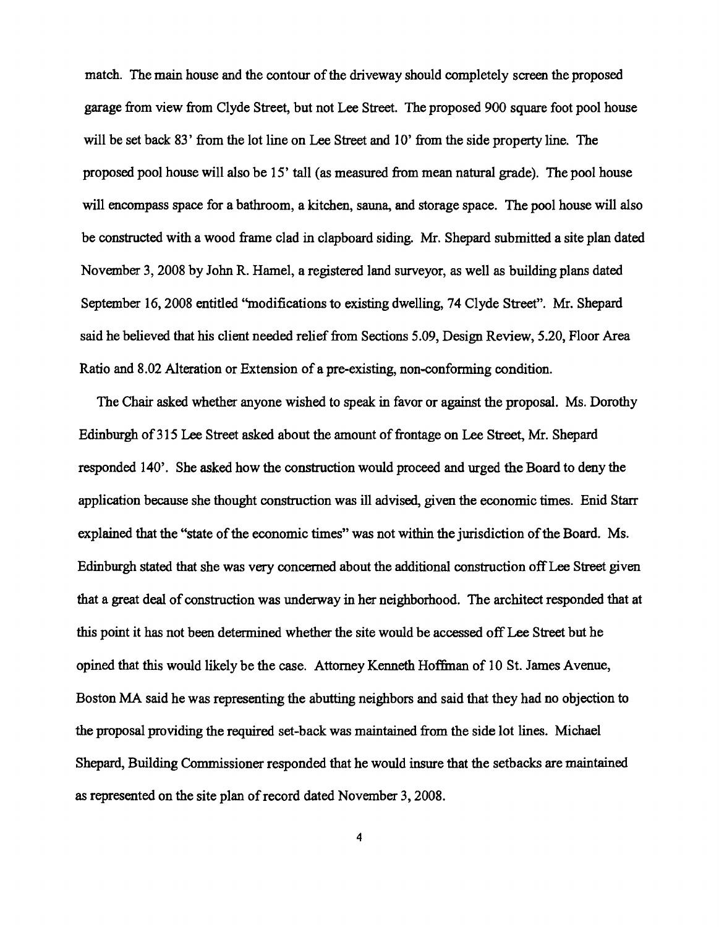match. The main house and the contour of the driveway should completely screen the proposed garage from view from Clyde Street, but not Lee Street. The proposed 900 square foot pool house will be set back 83' from the lot line on Lee Street and 10' from the side property line. The proposed pool house will also be 15' tall (as measured from mean natural grade). The pool house will encompass space for a bathroom, a kitchen, sauna, and storage space. The pool house will also be constructed with a wood frame clad in clapboard siding. Mr. Shepard submitted a site plan dated November 3,2008 by John R. Hamel, a registered land surveyor, as well as building plans dated September 16,2008 entitled ''modifications to existing dwelling, 74 Clyde Street". Mr. Shepard said he believed that his client needed relief from Sections 5.09, Design Review, 5.20, Floor Area Ratio and 8.02 Alteration or Extension of a pre-existing, non-conforming condition.

The Chair asked whether anyone wished to speak in favor or against the proposal. Ms. Dorothy Edinburgh of 315 Lee Street asked about the amount of frontage on Lee Street, Mr. Shepard responded 140'. She asked how the construction would proceed and urged the Board to deny the application because she thought construction was ill advised, given the economic times. Enid Starr explained that the "state of the economic times" was not within the jurisdiction of the Board. Ms. Edinburgh stated that she was very concerned about the additional construction off Lee Street given that a great deal of construction was underway in her neighborhood. The architect responded that at this point it has not been determined whether the site would be accessed off Lee Street but he opined that this would likely be the case. Attorney Kenneth Hoffman of 10 St. James Avenue, Boston MA said he was representing the abutting neighbors and said that they had no objection to the proposal providing the required set-back was maintained from the side lot lines. Michael Shepard, Building Commissioner responded that he would insure that the setbacks are maintained as represented on the site plan of record dated November 3, 2008.

4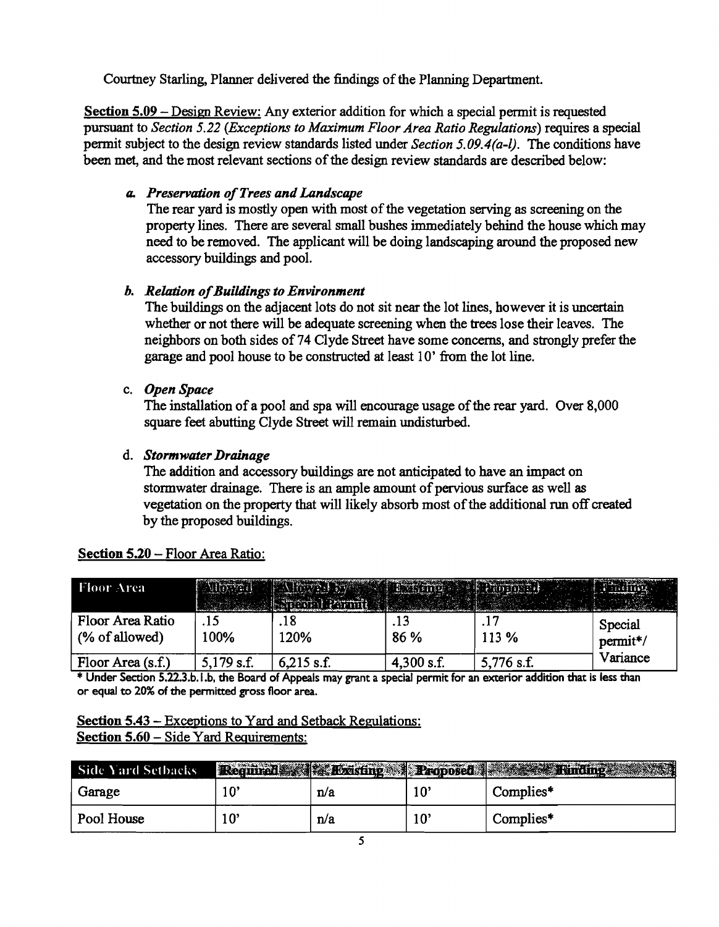Courtney Starling, Planner delivered the findings of the Planning Department.

Section 5.09 - Design Review: Any exterior addition for which a special permit is requested pursuant to *Section* 5.22 *(Exceptions to Maximum Floor Area Ratio Regulations)* requires a special permit subject to the design review standards listed under *Section 5.09.4(a-l).* The conditions have been met, and the most relevant sections of the design review standards are described below:

# *a. Preservation ofTrees and Landscape*

The rear yard is mostly open with most of the vegetation serving as screening on the property lines. There are several small bushes immediately behind the house which may need to be removed. The applicant will be doing landscaping around the proposed new accessory buildings and pool.

# *b. Relation ofBuildings to Environment*

The buildings on the adjacent lots do not sit near the lot lines, however it is uncertain whether or not there will be adequate screening when the trees lose their leaves. The neighbors on both sides of74 Clyde Street have some concerns, and strongly prefer the garage and pool house to be constructed at least 10' from the lot line.

# c. *Open Space*

The installation of a pool and spa will encourage usage of the rear yard. Over 8,000 square feet abutting Clyde Street will remain undisturbed.

# d. *StormwaterDrainage*

The addition and accessory buildings are not anticipated to have an impact on stormwater drainage. There is an ample amount of pervious surface as well as vegetation on the property that will likely absorb most of the additional run off created by the proposed buildings.

| <b>Floor Area</b>                                                                                                        |              |              |             |            |                     |  |  |
|--------------------------------------------------------------------------------------------------------------------------|--------------|--------------|-------------|------------|---------------------|--|--|
| Floor Area Ratio<br>(% of allowed)                                                                                       | .15<br>100%  | .18<br>120%  | .13<br>86 % | 113 %      | Special<br>permit*/ |  |  |
| Floor Area (s.f.)                                                                                                        | $5,179$ s.f. | $6,215$ s.f. | 4,300 s.f.  | 5,776 s.f. | Variance            |  |  |
| * Under Section 5.22.3.b.1.b, the Board of Appeals may grant a special permit for an exterior addition that is less than |              |              |             |            |                     |  |  |

### Section 5.20 - Floor Area Ratio:

or equal to 20% of the permitted gross floor area.

Section 5.43 - Exceptions to Yard and Setback Regulations: Section 5.60 - Side Yard Requirements:

| Side Yard Setbacks |     |     |              | Required Kasking A Proposed Research Rinding |
|--------------------|-----|-----|--------------|----------------------------------------------|
| Garage             |     | n/a | $10^{\circ}$ | Complies*                                    |
| Pool House         | 10' | n/a | 10'          | Complies*                                    |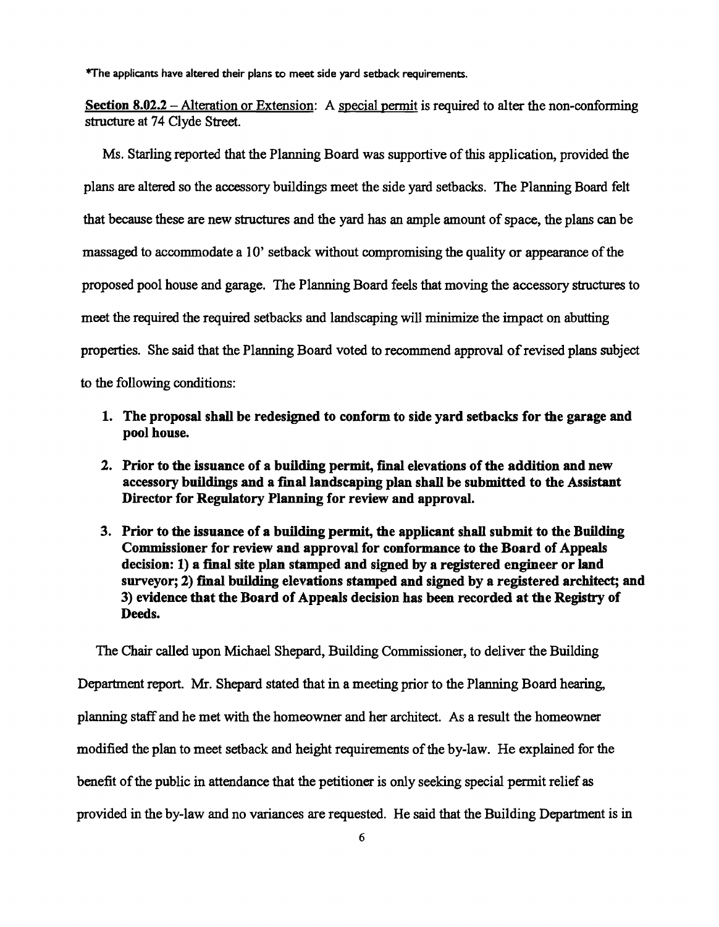\*The applicants have altered their plans to meet side yard setback requirements.

Section 8.02.2 – Alteration or Extension: A special permit is required to alter the non-conforming structure at 74 Clyde Street.

Ms. Starling reported that the Planning Board was supportive of this application, provided the plans are altered so the accessory buildings meet the side yard setbacks. The Planning Board felt that because these are new structures and the yard has an ample amount of space, the plans can be massaged to accommodate a 10' setback without compromising the quality or appearance ofthe proposed pool house and garage. The Planning Board feels that moving the accessory structures to meet the required the required setbacks and landscaping will minimize the impact on abutting properties. She said that the Planning Board voted to recommend approval of revised plans subject to the following conditions:

- 1. The proposal shall be redesigned to conform to side yard setbacks for the garage and pool house.
- 2. Prior to the issuance of a building permit, final elevations of the addition and new accessory buildings and a final landscaping plan shall be submitted to the Assistant Director for Regulatory Planning for review and approval.
- 3. Prior to the issuance of a building permit, the applicant shall submit to the Building Commissioner for review and approval for conformance to the Board of Appeals decision: 1) a final site plan stamped and signed by a registered engineer or land surveyor; 2) final building elevations stamped and signed by a registered architect; and 3) evidence that the Board of Appeals decision has been recorded at the Registry of Deeds.

The Chair called upon Michael Shepard, Building Commissioner, to deliver the Building Department report. Mr. Shepard stated that in a meeting prior to the Planning Board hearing, planning staff and he met with the homeowner and her architect. As a result the homeowner modified the plan to meet setback and height requirements of the by-law. He explained for the benefit of the public in attendance that the petitioner is only seeking special permit relief as provided in the by-law and no variances are requested. He said that the Building Department is in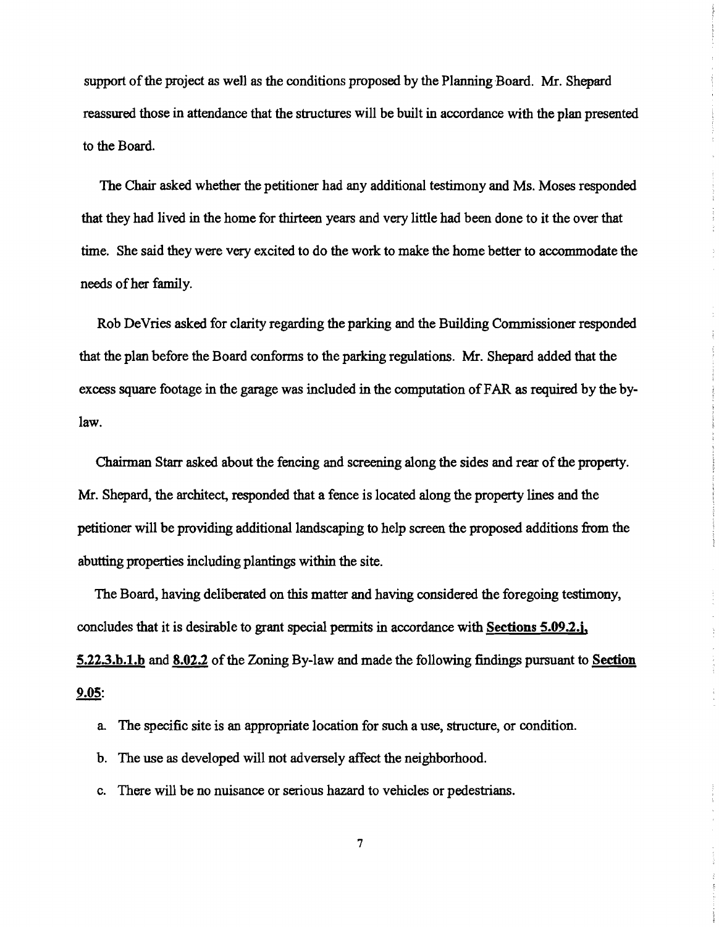support of the project as well as the conditions proposed by the Planning Board. Mr. Shepard reassured those in attendance that the structures will be built in accordance with the plan presented to the Board.

The Chair asked whether the petitioner had any additional testimony and Ms. Moses responded that they had lived in the home for thirteen years and very little had been done to it the over that time. She said they were very excited to do the work to make the home better to accommodate the needs of her family.

Rob DeVries asked for clarity regarding the parking and the Building Commissioner responded that the plan before the Board conforms to the parking regulations. Mr. Shepard added that the excess square footage in the garage was included in the computation ofFAR as required by the bylaw.

Chairman Starr asked about the fencing and screening along the sides and rear of the property. Mr. Shepard, the architect, responded that a fence is located along the property lines and the petitioner will be providing additional landscaping to help screen the proposed additions from the abutting properties including plantings within the site.

The Board, having deliberated on this matter and having considered the foregoing testimony, concludes that it is desirable to grant special permits in accordance with Sections 5.09.2.j, 5.22.3.b.1.b and 8.02.2 of the Zoning By-law and made the following findings pursuant to Section 9.05:

a. The specific site is an appropriate location for such a use, structure, or condition.

b. The use as developed will not adversely affect the neighborhood.

c. There will be no nuisance or serious hazard to vehicles or pedestrians.